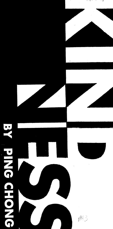# Jt: PING CHONG





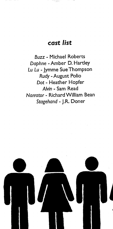## **cast** *list*

Buzz - Michael Roberts *Daphne* - Amber D. Hartley Lu Lu - jymme Sue Thompson *Rudy* -August Polio *Dot* - Heather Hopfer *Alvin* - Sam Read *Narrator* - Richard William Bean Stagehand - J.R. Doner

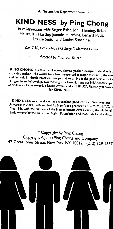# **KIND NESS by Ping Chong**

in collaboration with: Roger Babb, John Fleming, Brian Hallas, jan Hartley, jeannie Hutchins, Lenard Petit, Louise Smith and Louise Sunshine.

Oct *7-10, Oct 13-16, 1993 Stage II, Morrison Center* 

*direaed by* Michael Baltzell

PING CHONG is a theatre director, choreographer, designer, visual artist and video maker. His works have been presented at major museums, theatre and festivals in North America, Europe and Asia. He is the past recipient of <sup>a</sup> Guggenheim Fellowship, two McKnight Fellowships and six NEA fellowships as well as an Obie Award, a Bessie Award and a 1988 USA Playwrights Aware for KIND NESS.

KIND NESS was developed in a workshop production at Northeastern University in April 1986 and had its New York premiere at La MaMa E.T.C. in May 1986 with the support of the Massachusetts Arts Council, the National Endowment for the Arts, the Daglish Foundation and Materials for the Arts.

\* Copyright by Ping Chong Copyright Agent :Ping Chong and Company <sup>47</sup>Great Jones Street, New York, NY I 00 12 (212) 529-1557

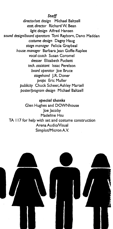*Staff director/set design* Michael Baltzell asst *director* Richard W. Bean *light design* Alfred Hansen *sound design/board operators* Toni Rayborn, Dana Madden *costume design* Dagny Haug *stage manager* Felicia Graybeal *house manager* Barbara Jean Goffe-Raplee *vocal coach* Susan Caramel *dresser* Elizabeth Puckett *tech. assistant* Issac Perelson *board operator* Joe Bruce *stagehand* J.R. Doner *props* Eric Muller *publicity* Chuck Scheer,Ashley Martell *poster/program design* Michael Baltzell

*special thanks*  Glen Hughes and DOWNhouse Joe Jacoby Madeline Hsu TA I 17 for help with set and costume construction Arena AudioNisual Simplot/Micron A.V.

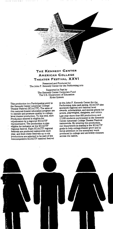

## **THE KENNEDY CENTER AMERICAN COLLEGE THEATER FESTIVAL XXVI**

Presented and Produced by The John F. Kennedy Center for the Performing Arts

> Supported in Part by The Kennedy Center Corporate Fund The U.S. Department of Education Ryder System

'This production is a Participating entry in the Kennedy Center American College Theater Festival (KC/ACTF). The aims of this national theater education program are to identify and promote quality in collegelevel theater production. To this end, each production entered is eligible for adjudication by a regional  $\rm KCACTF$ representative. The production is also eligible for inclusion at the KC/ACTF

regional festival. Eight KC/ACTF regional festivals are produced nationwide each year, and from these festivals up to six productions are selected to be part of the noncompetitive KC/ACTF national festival at the John F. Kennedy Center for the Performing Arts each spring. KC/ACTF also sponsors regional and national level awards, scholarships, and special grants for actors, playwrights, designers, and critics. Last year more than 800 productions and 17,000 students participated in the Kennedy Center American College Theater Festival nationwide. By entering this production, our department is sharing in the KC/ACTF goals to help college theater grow and to focus attention on the exemplary work produced in college and university theaters .<br>across the nation.